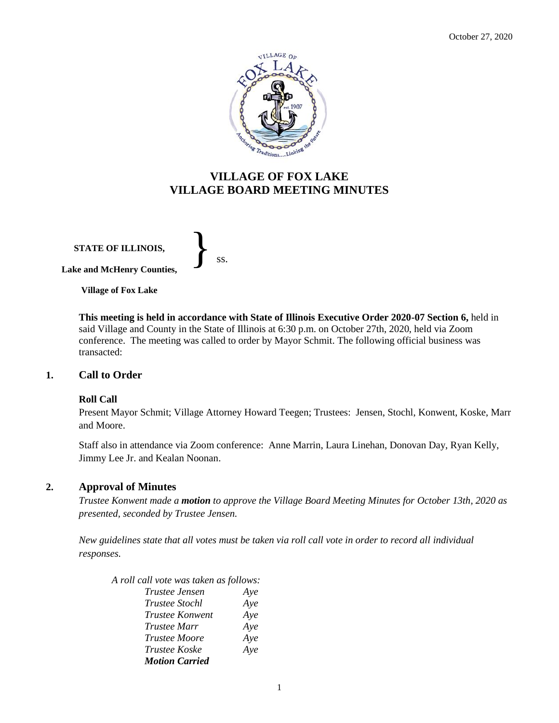

# **VILLAGE OF FOX LAKE VILLAGE BOARD MEETING MINUTES**

**STATE OF ILLINOIS,**

}<br>*ss.* 

**Lake and McHenry Counties,** 

**Village of Fox Lake**

**This meeting is held in accordance with State of Illinois Executive Order 2020-07 Section 6,** held in said Village and County in the State of Illinois at 6:30 p.m. on October 27th, 2020, held via Zoom conference. The meeting was called to order by Mayor Schmit. The following official business was transacted:

### **1. Call to Order**

### **Roll Call**

Present Mayor Schmit; Village Attorney Howard Teegen; Trustees: Jensen, Stochl, Konwent, Koske, Marr and Moore.

Staff also in attendance via Zoom conference: Anne Marrin, Laura Linehan, Donovan Day, Ryan Kelly, Jimmy Lee Jr. and Kealan Noonan.

### **2. Approval of Minutes**

*Trustee Konwent made a motion to approve the Village Board Meeting Minutes for October 13th, 2020 as presented, seconded by Trustee Jensen.* 

*New guidelines state that all votes must be taken via roll call vote in order to record all individual responses.* 

*A roll call vote was taken as follows: Trustee Jensen Aye Trustee Stochl Aye Trustee Konwent Aye Trustee Marr Aye Trustee Moore Aye Trustee Koske Aye Motion Carried*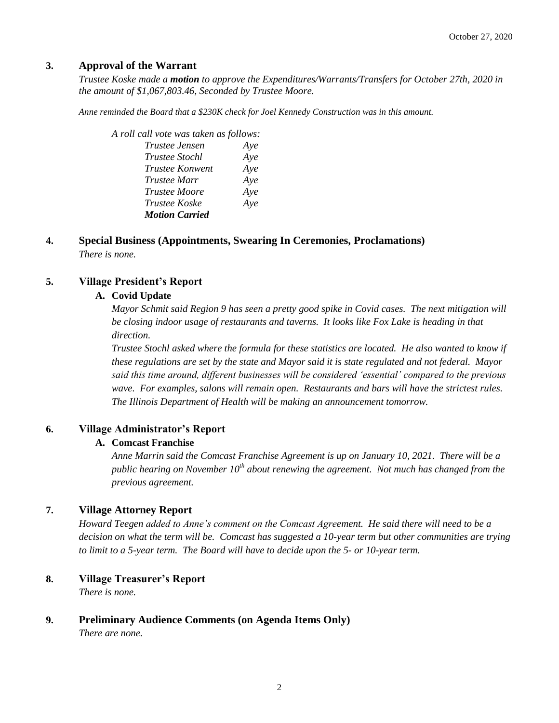# **3. Approval of the Warrant**

*Trustee Koske made a motion to approve the Expenditures/Warrants/Transfers for October 27th, 2020 in the amount of \$1,067,803.46, Seconded by Trustee Moore.*

*Anne reminded the Board that a \$230K check for Joel Kennedy Construction was in this amount.* 

| Aye |
|-----|
| Aye |
| Aye |
| Aye |
| Aye |
| Aye |
|     |
|     |

**4. Special Business (Appointments, Swearing In Ceremonies, Proclamations)** *There is none.*

# **5. Village President's Report**

## **A. Covid Update**

*Mayor Schmit said Region 9 has seen a pretty good spike in Covid cases. The next mitigation will be closing indoor usage of restaurants and taverns. It looks like Fox Lake is heading in that direction.* 

*Trustee Stochl asked where the formula for these statistics are located. He also wanted to know if these regulations are set by the state and Mayor said it is state regulated and not federal. Mayor said this time around, different businesses will be considered 'essential' compared to the previous wave. For examples, salons will remain open. Restaurants and bars will have the strictest rules. The Illinois Department of Health will be making an announcement tomorrow.* 

# **6. Village Administrator's Report**

# **A. Comcast Franchise**

*Anne Marrin said the Comcast Franchise Agreement is up on January 10, 2021. There will be a public hearing on November 10th about renewing the agreement. Not much has changed from the previous agreement.* 

# **7. Village Attorney Report**

*Howard Teegen added to Anne's comment on the Comcast Agreement. He said there will need to be a decision on what the term will be. Comcast has suggested a 10-year term but other communities are trying to limit to a 5-year term. The Board will have to decide upon the 5- or 10-year term.* 

# **8. Village Treasurer's Report**

*There is none.*

# **9. Preliminary Audience Comments (on Agenda Items Only)**

*There are none.*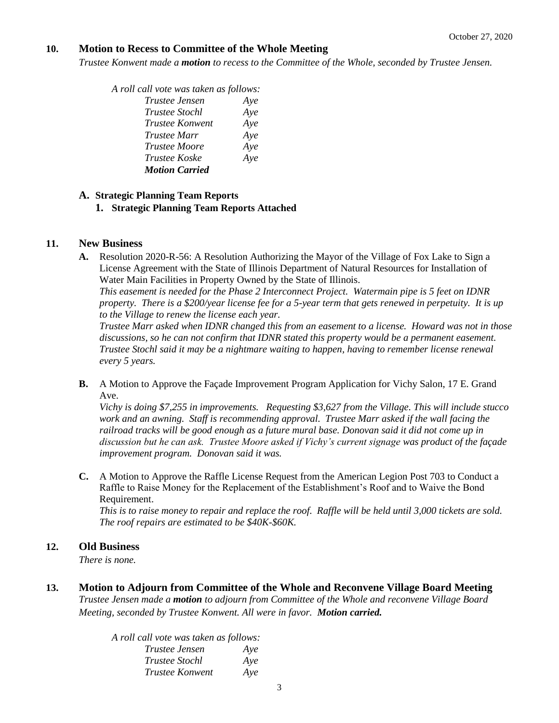## **10. Motion to Recess to Committee of the Whole Meeting**

*Trustee Konwent made a motion to recess to the Committee of the Whole, seconded by Trustee Jensen.* 

| A roll call vote was taken as follows: |     |
|----------------------------------------|-----|
| Trustee Jensen                         | Aye |
| Trustee Stochl                         | Aye |
| Trustee Konwent                        | Aye |
| <i>Trustee Marr</i>                    | Aye |
| Trustee Moore                          | Aye |
| <i>Trustee Koske</i>                   | Aye |
| <b>Motion Carried</b>                  |     |

## **A. Strategic Planning Team Reports**

**1. Strategic Planning Team Reports Attached**

## **11. New Business**

**A.** Resolution 2020-R-56: A Resolution Authorizing the Mayor of the Village of Fox Lake to Sign a License Agreement with the State of Illinois Department of Natural Resources for Installation of Water Main Facilities in Property Owned by the State of Illinois.

*This easement is needed for the Phase 2 Interconnect Project. Watermain pipe is 5 feet on IDNR property. There is a \$200/year license fee for a 5-year term that gets renewed in perpetuity. It is up to the Village to renew the license each year.* 

*Trustee Marr asked when IDNR changed this from an easement to a license. Howard was not in those discussions, so he can not confirm that IDNR stated this property would be a permanent easement. Trustee Stochl said it may be a nightmare waiting to happen, having to remember license renewal every 5 years.* 

**B.** A Motion to Approve the Façade Improvement Program Application for Vichy Salon, 17 E. Grand Ave.

*Vichy is doing \$7,255 in improvements. Requesting \$3,627 from the Village. This will include stucco work and an awning. Staff is recommending approval. Trustee Marr asked if the wall facing the railroad tracks will be good enough as a future mural base. Donovan said it did not come up in discussion but he can ask. Trustee Moore asked if Vichy's current signage was product of the façade improvement program. Donovan said it was.* 

**C.** A Motion to Approve the Raffle License Request from the American Legion Post 703 to Conduct a Raffle to Raise Money for the Replacement of the Establishment's Roof and to Waive the Bond Requirement.

*This is to raise money to repair and replace the roof. Raffle will be held until 3,000 tickets are sold. The roof repairs are estimated to be \$40K-\$60K.*

# **12. Old Business**

*There is none.*

**13. Motion to Adjourn from Committee of the Whole and Reconvene Village Board Meeting** *Trustee Jensen made a motion to adjourn from Committee of the Whole and reconvene Village Board Meeting, seconded by Trustee Konwent. All were in favor. Motion carried.* 

> *A roll call vote was taken as follows: Trustee Jensen Aye Trustee Stochl Aye Trustee Konwent Aye*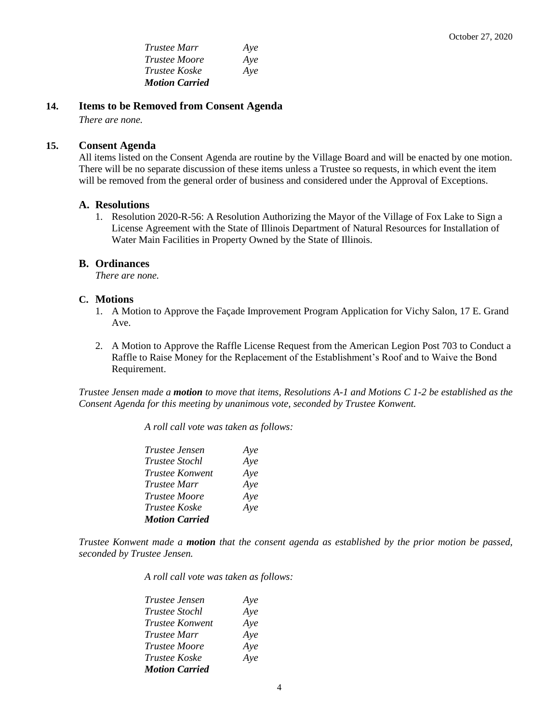*Trustee Marr Aye Trustee Moore Aye Trustee Koske Aye Motion Carried*

**14. Items to be Removed from Consent Agenda** 

*There are none.*

#### **15. Consent Agenda**

All items listed on the Consent Agenda are routine by the Village Board and will be enacted by one motion. There will be no separate discussion of these items unless a Trustee so requests, in which event the item will be removed from the general order of business and considered under the Approval of Exceptions.

#### **A. Resolutions**

1. Resolution 2020-R-56: A Resolution Authorizing the Mayor of the Village of Fox Lake to Sign a License Agreement with the State of Illinois Department of Natural Resources for Installation of Water Main Facilities in Property Owned by the State of Illinois.

#### **B. Ordinances**

*There are none.*

#### **C. Motions**

- 1. A Motion to Approve the Façade Improvement Program Application for Vichy Salon, 17 E. Grand Ave.
- 2. A Motion to Approve the Raffle License Request from the American Legion Post 703 to Conduct a Raffle to Raise Money for the Replacement of the Establishment's Roof and to Waive the Bond Requirement.

*Trustee Jensen made a motion to move that items, Resolutions A-1 and Motions C 1-2 be established as the Consent Agenda for this meeting by unanimous vote, seconded by Trustee Konwent.*

*A roll call vote was taken as follows:* 

| Trustee Jensen        | Aye |
|-----------------------|-----|
| <b>Trustee Stochl</b> | Aye |
| Trustee Konwent       | Aye |
| Trustee Marr          | Aye |
| <b>Trustee Moore</b>  | Aye |
| Trustee Koske         | Aye |
| <b>Motion Carried</b> |     |

*Trustee Konwent made a motion that the consent agenda as established by the prior motion be passed, seconded by Trustee Jensen.*

*A roll call vote was taken as follows:* 

| <i>Trustee Jensen</i> | Aye |
|-----------------------|-----|
| <b>Trustee Stochl</b> | Aye |
| Trustee Konwent       | Aye |
| <i>Trustee Marr</i>   | Aye |
| <i>Trustee Moore</i>  | Aye |
| <i>Trustee Koske</i>  | Aye |
| <b>Motion Carried</b> |     |